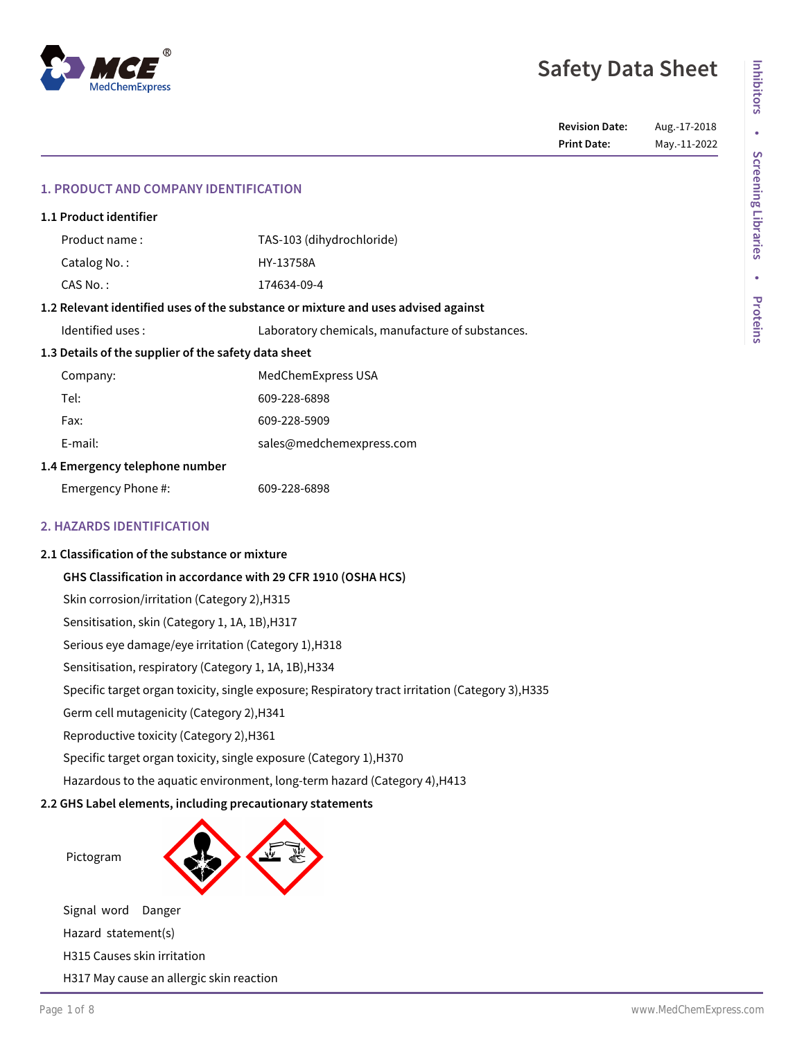# **Safety Data Sheet**

**Revision Date:** Aug.-17-2018 **Print Date:** May.-11-2022

# **1. PRODUCT AND COMPANY IDENTIFICATION**

| 1.1 Product identifier                                                            |                                                  |  |
|-----------------------------------------------------------------------------------|--------------------------------------------------|--|
| Product name:                                                                     | TAS-103 (dihydrochloride)                        |  |
| Catalog No.:                                                                      | HY-13758A                                        |  |
| CAS No.:                                                                          | 174634-09-4                                      |  |
| 1.2 Relevant identified uses of the substance or mixture and uses advised against |                                                  |  |
| Identified uses:                                                                  | Laboratory chemicals, manufacture of substances. |  |
| 1.3 Details of the supplier of the safety data sheet                              |                                                  |  |
| Company:                                                                          | MedChemExpress USA                               |  |
| Tel:                                                                              | 609-228-6898                                     |  |
| Fax:                                                                              | 609-228-5909                                     |  |
| E-mail:                                                                           | sales@medchemexpress.com                         |  |
| 1.4 Emergency telephone number                                                    |                                                  |  |
| Emergency Phone #:                                                                | 609-228-6898                                     |  |
|                                                                                   |                                                  |  |

# **2. HAZARDS IDENTIFICATION**

#### **2.1 Classification of the substance or mixture**

**GHS Classification in accordance with 29 CFR 1910 (OSHA HCS)**

Skin corrosion/irritation (Category 2),H315

Sensitisation, skin (Category 1, 1A, 1B),H317

Serious eye damage/eye irritation (Category 1),H318

Sensitisation, respiratory (Category 1, 1A, 1B),H334

Specific target organ toxicity, single exposure; Respiratory tract irritation (Category 3),H335

Germ cell mutagenicity (Category 2),H341

Reproductive toxicity (Category 2),H361

Specific target organ toxicity, single exposure (Category 1),H370

Hazardous to the aquatic environment, long-term hazard (Category 4),H413

# **2.2 GHS Label elements, including precautionary statements**



H317 May cause an allergic skin reaction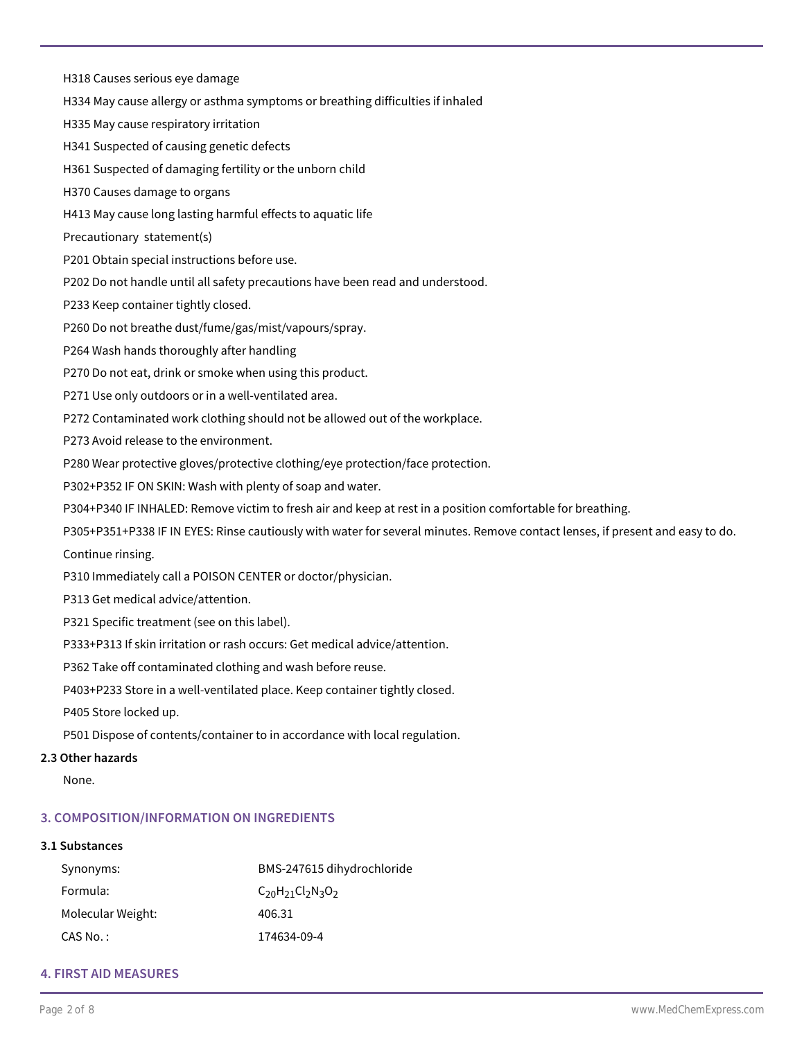H318 Causes serious eye damage

H334 May cause allergy or asthma symptoms or breathing difficulties if inhaled

H335 May cause respiratory irritation

H341 Suspected of causing genetic defects

H361 Suspected of damaging fertility or the unborn child

H370 Causes damage to organs

H413 May cause long lasting harmful effects to aquatic life

Precautionary statement(s)

P201 Obtain special instructions before use.

P202 Do not handle until all safety precautions have been read and understood.

P233 Keep container tightly closed.

P260 Do not breathe dust/fume/gas/mist/vapours/spray.

P264 Wash hands thoroughly after handling

P270 Do not eat, drink or smoke when using this product.

P271 Use only outdoors or in a well-ventilated area.

P272 Contaminated work clothing should not be allowed out of the workplace.

P273 Avoid release to the environment.

P280 Wear protective gloves/protective clothing/eye protection/face protection.

P302+P352 IF ON SKIN: Wash with plenty of soap and water.

P304+P340 IF INHALED: Remove victim to fresh air and keep at rest in a position comfortable for breathing.

P305+P351+P338 IF IN EYES: Rinse cautiously with water for several minutes. Remove contact lenses, if present and easy to do.

Continue rinsing.

P310 Immediately call a POISON CENTER or doctor/physician.

P313 Get medical advice/attention.

P321 Specific treatment (see on this label).

P333+P313 If skin irritation or rash occurs: Get medical advice/attention.

P362 Take off contaminated clothing and wash before reuse.

P403+P233 Store in a well-ventilated place. Keep container tightly closed.

P405 Store locked up.

P501 Dispose of contents/container to in accordance with local regulation.

# **2.3 Other hazards**

None.

# **3. COMPOSITION/INFORMATION ON INGREDIENTS**

# **3.1 Substances**

| Synonyms:         | BMS-247615 dihydrochloride |
|-------------------|----------------------------|
| Formula:          | $C_{20}H_{21}Cl_2N_3O_2$   |
| Molecular Weight: | 406.31                     |
| CAS No. :         | 174634-09-4                |

# **4. FIRST AID MEASURES**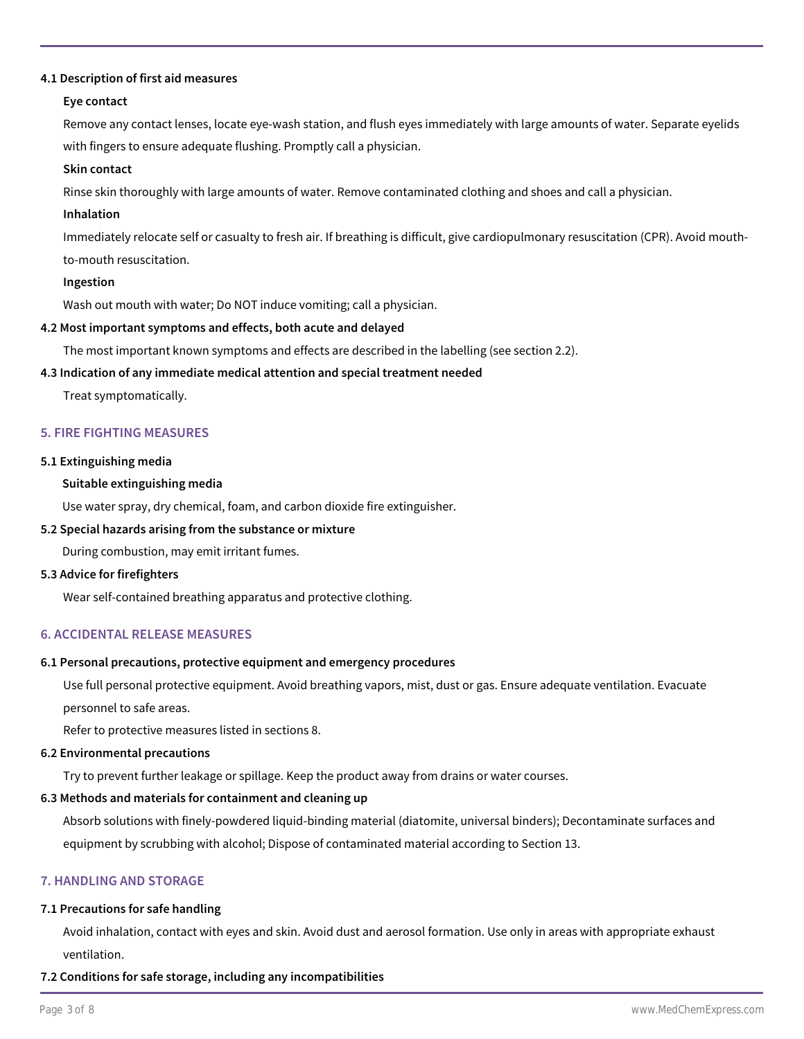#### **4.1 Description of first aid measures**

#### **Eye contact**

Remove any contact lenses, locate eye-wash station, and flush eyes immediately with large amounts of water. Separate eyelids with fingers to ensure adequate flushing. Promptly call a physician.

#### **Skin contact**

Rinse skin thoroughly with large amounts of water. Remove contaminated clothing and shoes and call a physician.

#### **Inhalation**

Immediately relocate self or casualty to fresh air. If breathing is difficult, give cardiopulmonary resuscitation (CPR). Avoid mouthto-mouth resuscitation.

#### **Ingestion**

Wash out mouth with water; Do NOT induce vomiting; call a physician.

#### **4.2 Most important symptoms and effects, both acute and delayed**

The most important known symptoms and effects are described in the labelling (see section 2.2).

#### **4.3 Indication of any immediate medical attention and special treatment needed**

Treat symptomatically.

### **5. FIRE FIGHTING MEASURES**

#### **5.1 Extinguishing media**

#### **Suitable extinguishing media**

Use water spray, dry chemical, foam, and carbon dioxide fire extinguisher.

#### **5.2 Special hazards arising from the substance or mixture**

During combustion, may emit irritant fumes.

#### **5.3 Advice for firefighters**

Wear self-contained breathing apparatus and protective clothing.

#### **6. ACCIDENTAL RELEASE MEASURES**

#### **6.1 Personal precautions, protective equipment and emergency procedures**

Use full personal protective equipment. Avoid breathing vapors, mist, dust or gas. Ensure adequate ventilation. Evacuate personnel to safe areas.

Refer to protective measures listed in sections 8.

#### **6.2 Environmental precautions**

Try to prevent further leakage or spillage. Keep the product away from drains or water courses.

#### **6.3 Methods and materials for containment and cleaning up**

Absorb solutions with finely-powdered liquid-binding material (diatomite, universal binders); Decontaminate surfaces and equipment by scrubbing with alcohol; Dispose of contaminated material according to Section 13.

# **7. HANDLING AND STORAGE**

#### **7.1 Precautions for safe handling**

Avoid inhalation, contact with eyes and skin. Avoid dust and aerosol formation. Use only in areas with appropriate exhaust ventilation.

**7.2 Conditions for safe storage, including any incompatibilities**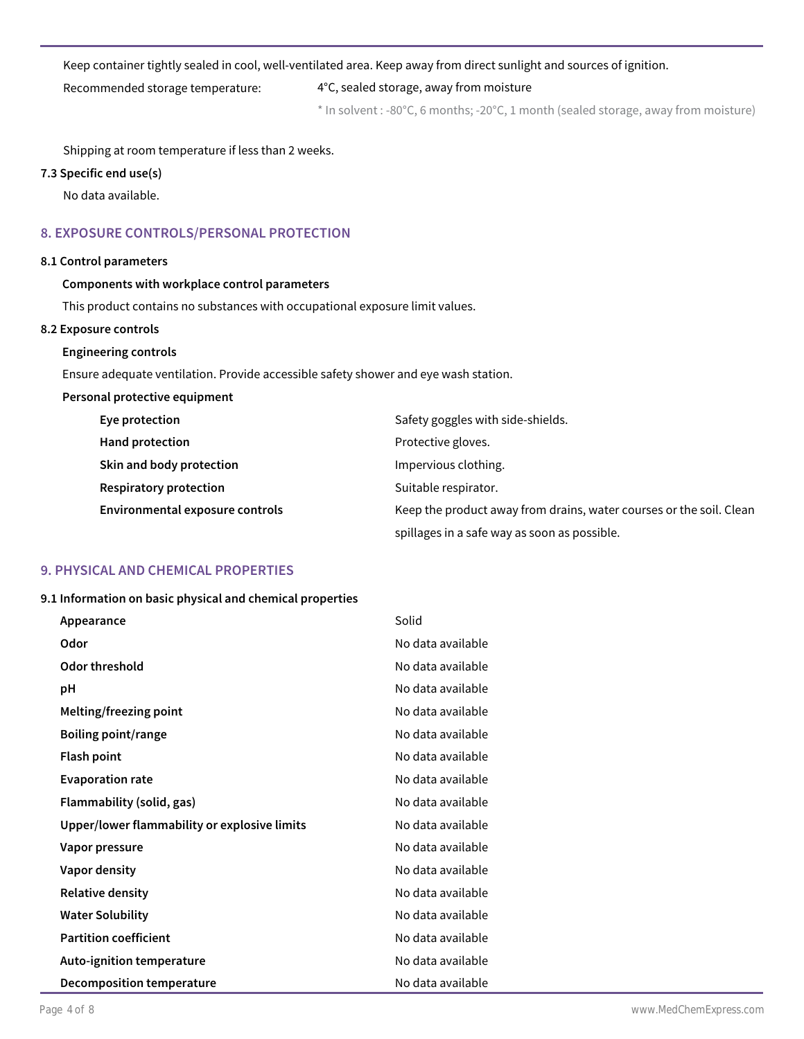#### Keep container tightly sealed in cool, well-ventilated area. Keep away from direct sunlight and sources of ignition.

Recommended storage temperature: 4°C, sealed storage, away from moisture

\* In solvent : -80°C, 6 months; -20°C, 1 month (sealed storage, away from moisture)

Shipping at room temperature if less than 2 weeks.

# **7.3 Specific end use(s)**

No data available.

# **8. EXPOSURE CONTROLS/PERSONAL PROTECTION**

# **8.1 Control parameters**

# **Components with workplace control parameters**

This product contains no substances with occupational exposure limit values.

# **8.2 Exposure controls**

# **Engineering controls**

Ensure adequate ventilation. Provide accessible safety shower and eye wash station.

# **Personal protective equipment**

| Eye protection                  | Safety goggles with side-shields.                                   |  |
|---------------------------------|---------------------------------------------------------------------|--|
| Hand protection                 | Protective gloves.                                                  |  |
| Skin and body protection        | Impervious clothing.                                                |  |
| <b>Respiratory protection</b>   | Suitable respirator.                                                |  |
| Environmental exposure controls | Keep the product away from drains, water courses or the soil. Clean |  |
|                                 | spillages in a safe way as soon as possible.                        |  |

# **9. PHYSICAL AND CHEMICAL PROPERTIES**

#### **9.1 Information on basic physical and chemical properties**

| Appearance                                   | Solid             |
|----------------------------------------------|-------------------|
| Odor                                         | No data available |
| Odor threshold                               | No data available |
| рH                                           | No data available |
| Melting/freezing point                       | No data available |
| <b>Boiling point/range</b>                   | No data available |
| <b>Flash point</b>                           | No data available |
| <b>Evaporation rate</b>                      | No data available |
| Flammability (solid, gas)                    | No data available |
| Upper/lower flammability or explosive limits | No data available |
| Vapor pressure                               | No data available |
| Vapor density                                | No data available |
| <b>Relative density</b>                      | No data available |
| <b>Water Solubility</b>                      | No data available |
| <b>Partition coefficient</b>                 | No data available |
| Auto-ignition temperature                    | No data available |
| Decomposition temperature                    | No data available |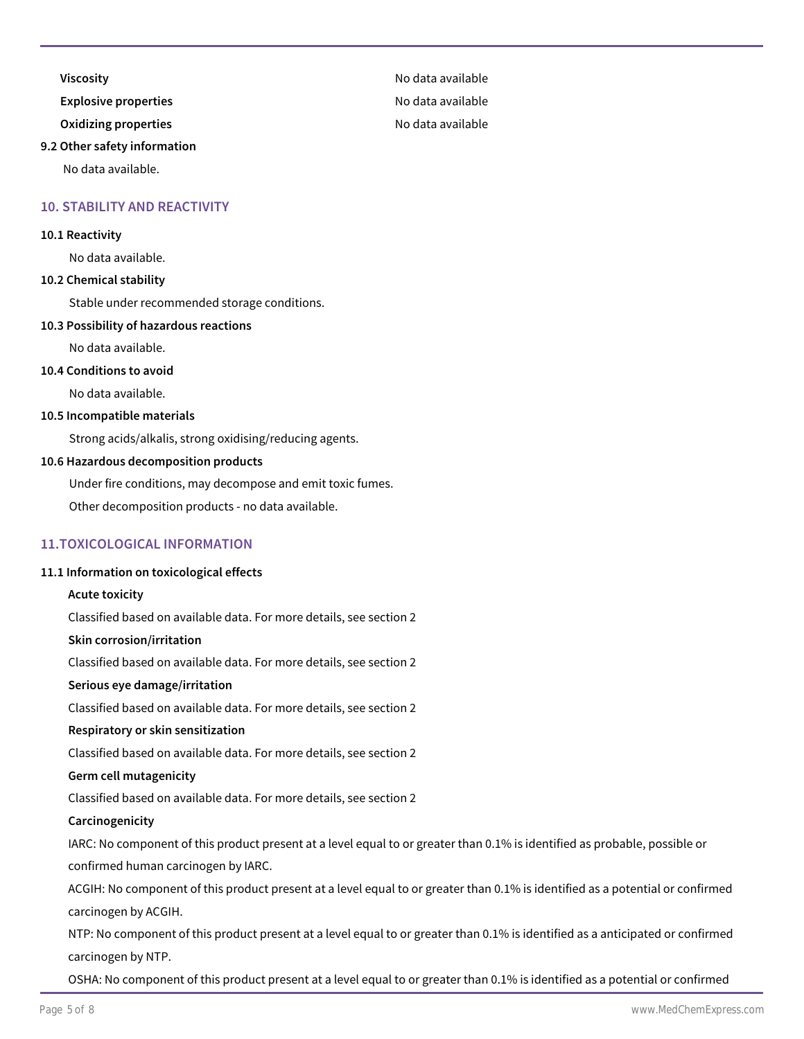**Viscosity No data available** 

**Explosive properties Explosive properties No data available** 

**Oxidizing properties** and a set of the set of the No data available

#### **9.2 Other safety information**

No data available.

### **10. STABILITY AND REACTIVITY**

#### **10.1 Reactivity**

No data available.

## **10.2 Chemical stability**

Stable under recommended storage conditions.

#### **10.3 Possibility of hazardous reactions**

No data available.

#### **10.4 Conditions to avoid**

No data available.

#### **10.5 Incompatible materials**

Strong acids/alkalis, strong oxidising/reducing agents.

#### **10.6 Hazardous decomposition products**

Under fire conditions, may decompose and emit toxic fumes.

Other decomposition products - no data available.

### **11.TOXICOLOGICAL INFORMATION**

#### **11.1 Information on toxicological effects**

#### **Acute toxicity**

Classified based on available data. For more details, see section 2

#### **Skin corrosion/irritation**

Classified based on available data. For more details, see section 2

#### **Serious eye damage/irritation**

Classified based on available data. For more details, see section 2

#### **Respiratory or skin sensitization**

Classified based on available data. For more details, see section 2

#### **Germ cell mutagenicity**

Classified based on available data. For more details, see section 2

#### **Carcinogenicity**

IARC: No component of this product present at a level equal to or greater than 0.1% is identified as probable, possible or confirmed human carcinogen by IARC.

ACGIH: No component of this product present at a level equal to or greater than 0.1% is identified as a potential or confirmed carcinogen by ACGIH.

NTP: No component of this product present at a level equal to or greater than 0.1% is identified as a anticipated or confirmed carcinogen by NTP.

OSHA: No component of this product present at a level equal to or greater than 0.1% is identified as a potential or confirmed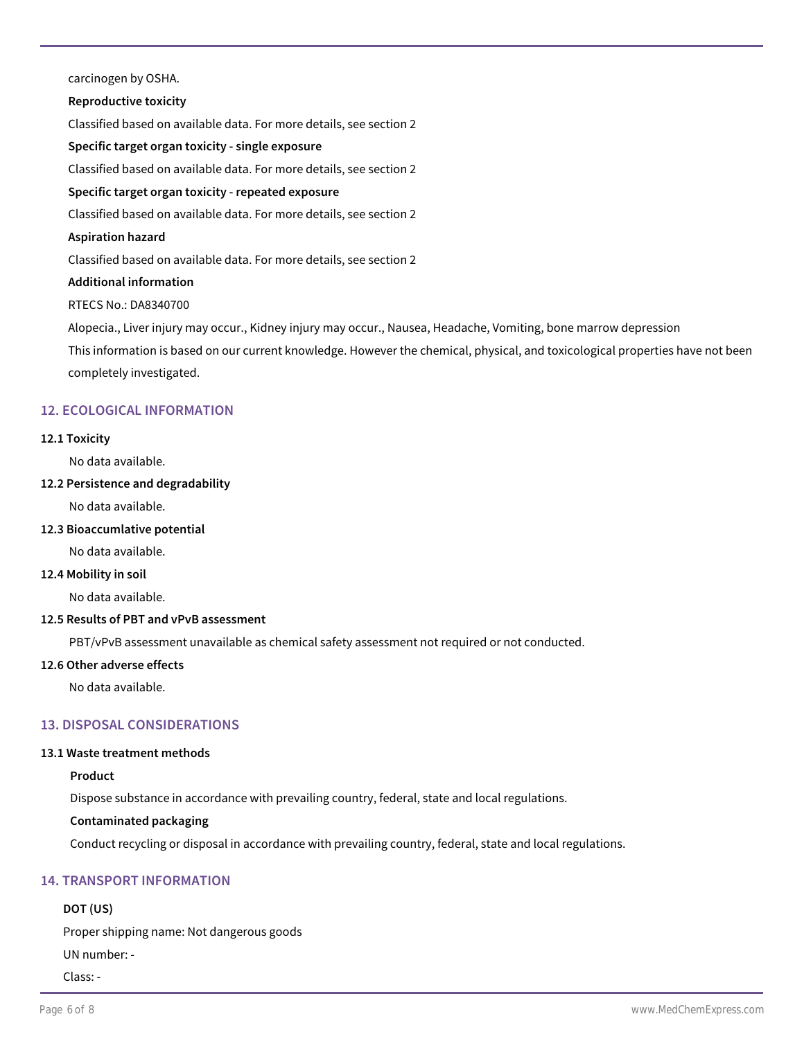carcinogen by OSHA.

#### **Reproductive toxicity**

Classified based on available data. For more details, see section 2

**Specific target organ toxicity - single exposure**

Classified based on available data. For more details, see section 2

# **Specific target organ toxicity - repeated exposure**

Classified based on available data. For more details, see section 2

#### **Aspiration hazard**

Classified based on available data. For more details, see section 2

#### **Additional information**

RTECS No.: DA8340700

Alopecia., Liver injury may occur., Kidney injury may occur., Nausea, Headache, Vomiting, bone marrow depression

This information is based on our current knowledge. However the chemical, physical, and toxicological properties have not been completely investigated.

# **12. ECOLOGICAL INFORMATION**

#### **12.1 Toxicity**

No data available.

#### **12.2 Persistence and degradability**

No data available.

### **12.3 Bioaccumlative potential**

No data available.

#### **12.4 Mobility in soil**

No data available.

#### **12.5 Results of PBT and vPvB assessment**

PBT/vPvB assessment unavailable as chemical safety assessment not required or not conducted.

#### **12.6 Other adverse effects**

No data available.

# **13. DISPOSAL CONSIDERATIONS**

#### **13.1 Waste treatment methods**

# **Product**

Dispose substance in accordance with prevailing country, federal, state and local regulations.

# **Contaminated packaging**

Conduct recycling or disposal in accordance with prevailing country, federal, state and local regulations.

# **14. TRANSPORT INFORMATION**

# **DOT (US)**

Proper shipping name: Not dangerous goods

UN number: -

Class: -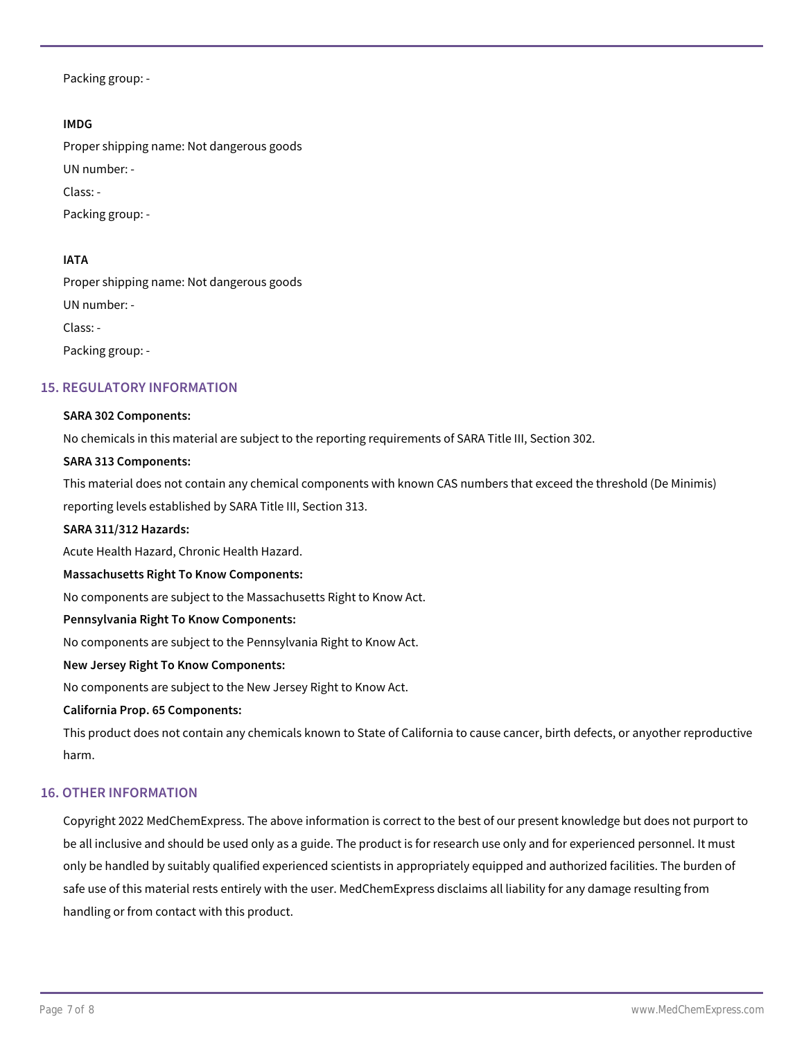Packing group: -

### **IMDG**

Proper shipping name: Not dangerous goods UN number: - Class: - Packing group: -

### **IATA**

Proper shipping name: Not dangerous goods UN number: -

Class: -

Packing group: -

# **15. REGULATORY INFORMATION**

#### **SARA 302 Components:**

No chemicals in this material are subject to the reporting requirements of SARA Title III, Section 302.

#### **SARA 313 Components:**

This material does not contain any chemical components with known CAS numbers that exceed the threshold (De Minimis) reporting levels established by SARA Title III, Section 313.

#### **SARA 311/312 Hazards:**

Acute Health Hazard, Chronic Health Hazard.

#### **Massachusetts Right To Know Components:**

No components are subject to the Massachusetts Right to Know Act.

#### **Pennsylvania Right To Know Components:**

No components are subject to the Pennsylvania Right to Know Act.

#### **New Jersey Right To Know Components:**

No components are subject to the New Jersey Right to Know Act.

#### **California Prop. 65 Components:**

This product does not contain any chemicals known to State of California to cause cancer, birth defects, or anyother reproductive harm.

#### **16. OTHER INFORMATION**

Copyright 2022 MedChemExpress. The above information is correct to the best of our present knowledge but does not purport to be all inclusive and should be used only as a guide. The product is for research use only and for experienced personnel. It must only be handled by suitably qualified experienced scientists in appropriately equipped and authorized facilities. The burden of safe use of this material rests entirely with the user. MedChemExpress disclaims all liability for any damage resulting from handling or from contact with this product.